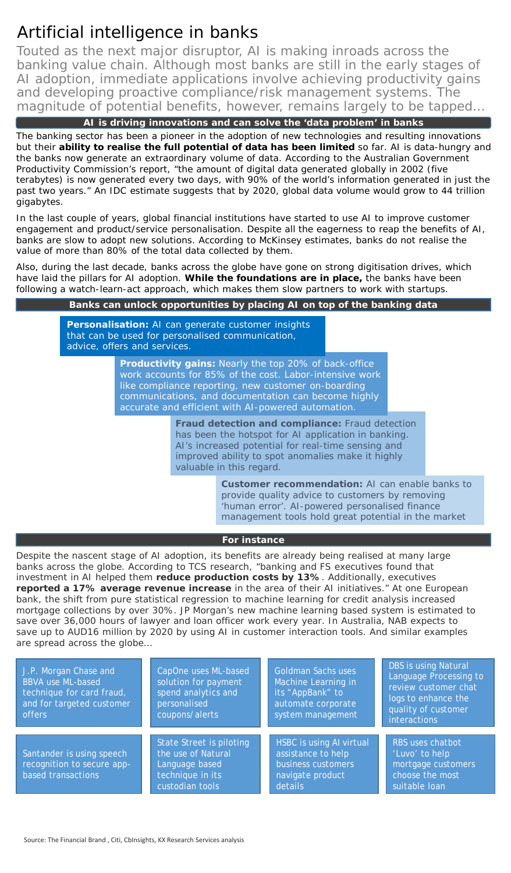## Artificial intelligence in banks

Touted as the next major disruptor, AI is making inroads across the banking value chain. Although most banks are still in the early stages of AI adoption, immediate applications involve achieving productivity gains and developing proactive compliance/risk management systems. The magnitude of potential benefits, however, remains largely to be tapped…

**AI is driving innovations and can solve the 'data problem' in banks**

The banking sector has been a pioneer in the adoption of new technologies and resulting innovations but their **ability to realise the full potential of data has been limited** so far. AI is data-hungry and the banks now generate an extraordinary volume of data. According to the Australian Government Productivity Commission's report, "the amount of digital data generated globally in 2002 (five terabytes) is now generated every two days, with 90% of the world's information generated in just the past two years." An IDC estimate suggests that by 2020, global data volume would grow to 44 trillion gigabytes.

In the last couple of years, global financial institutions have started to use AI to improve customer engagement and product/service personalisation. Despite all the eagerness to reap the benefits of AI, banks are slow to adopt new solutions. According to McKinsey estimates, banks do not realise the value of more than 80% of the total data collected by them.

Also, during the last decade, banks across the globe have gone on strong digitisation drives, which have laid the pillars for AI adoption. **While the foundations are in place,** the banks have been following a watch-learn-act approach, which makes them slow partners to work with startups.

## **Banks can unlock opportunities by placing AI on top of the banking data**

**Personalisation:** AI can generate customer insights that can be used for personalised communication, advice, offers and services.

> **Productivity gains:** Nearly the top 20% of back-office work accounts for 85% of the cost. Labor-intensive work like compliance reporting, new customer on-boarding communications, and documentation can become highly accurate and efficient with AI-powered automation.

> > **Fraud detection and compliance:** Fraud detection has been the hotspot for AI application in banking. AI's increased potential for real-time sensing and improved ability to spot anomalies make it highly valuable in this regard.

> > > **Customer recommendation:** AI can enable banks to provide quality advice to customers by removing 'human error'. AI-powered personalised finance management tools hold great potential in the market.

## **For instance**

Despite the nascent stage of AI adoption, its benefits are already being realised at many large banks across the globe. According to TCS research, "banking and FS executives found that investment in AI helped them **reduce production costs by 13%**. Additionally, executives **reported a 17% average revenue increase** in the area of their AI initiatives." At one European bank, the shift from pure statistical regression to machine learning for credit analysis increased mortgage collections by over 30%. JP Morgan's new machine learning based system is estimated to save over 36,000 hours of lawyer and loan officer work every year. In Australia, NAB expects to save up to AUD16 million by 2020 by using AI in customer interaction tools. And similar examples are spread across the globe…

| J.P. Morgan Chase and<br><b>BBVA use ML-based</b><br>technique for card fraud,<br>and for targeted customer<br><i>offers</i> | CapOne uses ML-based<br>solution for payment<br>spend analytics and<br>personalised<br>coupons/alerts          | <b>Goldman Sachs uses</b><br>Machine Learning in<br>its "AppBank" to<br>automate corporate<br>system management | <b>DBS</b> is using Natural<br>Language Processing to<br>review customer chat<br>logs to enhance the<br>quality of customer<br>interactions |
|------------------------------------------------------------------------------------------------------------------------------|----------------------------------------------------------------------------------------------------------------|-----------------------------------------------------------------------------------------------------------------|---------------------------------------------------------------------------------------------------------------------------------------------|
| Santander is using speech<br>recognition to secure app-<br>based transactions                                                | <b>State Street is piloting</b><br>the use of Natural<br>Language based<br>technique in its<br>custodian tools | HSBC is using AI virtual<br>assistance to help<br>business customers<br>navigate product<br>details             | RBS uses chatbot<br>'Luvo' to help<br>mortgage customers<br>choose the most<br>suitable loan                                                |